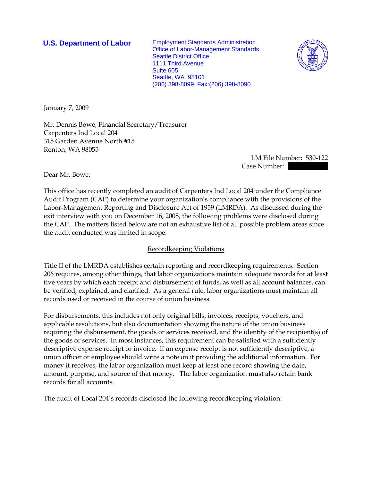**U.S. Department of Labor** Employment Standards Administration Office of Labor-Management Standards Seattle District Office 1111 Third Avenue Suite 605 Seattle, WA 98101 (206) 398-8099 Fax:(206) 398-8090



January 7, 2009

Mr. Dennis Bowe, Financial Secretary/Treasurer Carpenters Ind Local 204 315 Garden Avenue North #15 Renton, WA 98055

> LM File Number: 530-122 Case Number:

Dear Mr. Bowe:

This office has recently completed an audit of Carpenters Ind Local 204 under the Compliance Audit Program (CAP) to determine your organization's compliance with the provisions of the Labor-Management Reporting and Disclosure Act of 1959 (LMRDA). As discussed during the exit interview with you on December 16, 2008, the following problems were disclosed during the CAP. The matters listed below are not an exhaustive list of all possible problem areas since the audit conducted was limited in scope.

## Recordkeeping Violations

Title II of the LMRDA establishes certain reporting and recordkeeping requirements. Section 206 requires, among other things, that labor organizations maintain adequate records for at least five years by which each receipt and disbursement of funds, as well as all account balances, can be verified, explained, and clarified. As a general rule, labor organizations must maintain all records used or received in the course of union business.

For disbursements, this includes not only original bills, invoices, receipts, vouchers, and applicable resolutions, but also documentation showing the nature of the union business requiring the disbursement, the goods or services received, and the identity of the recipient(s) of the goods or services. In most instances, this requirement can be satisfied with a sufficiently descriptive expense receipt or invoice. If an expense receipt is not sufficiently descriptive, a union officer or employee should write a note on it providing the additional information. For money it receives, the labor organization must keep at least one record showing the date, amount, purpose, and source of that money. The labor organization must also retain bank records for all accounts.

The audit of Local 204's records disclosed the following recordkeeping violation: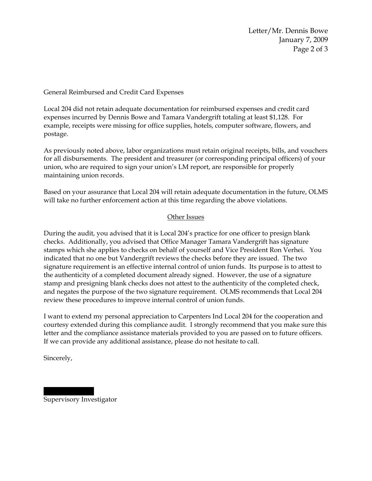Letter/Mr. Dennis Bowe January 7, 2009 Page 2 of 3

General Reimbursed and Credit Card Expenses

Local 204 did not retain adequate documentation for reimbursed expenses and credit card expenses incurred by Dennis Bowe and Tamara Vandergrift totaling at least \$1,128. For example, receipts were missing for office supplies, hotels, computer software, flowers, and postage.

As previously noted above, labor organizations must retain original receipts, bills, and vouchers for all disbursements. The president and treasurer (or corresponding principal officers) of your union, who are required to sign your union's LM report, are responsible for properly maintaining union records.

Based on your assurance that Local 204 will retain adequate documentation in the future, OLMS will take no further enforcement action at this time regarding the above violations.

## Other Issues

During the audit, you advised that it is Local 204's practice for one officer to presign blank checks. Additionally, you advised that Office Manager Tamara Vandergrift has signature stamps which she applies to checks on behalf of yourself and Vice President Ron Verhei. You indicated that no one but Vandergrift reviews the checks before they are issued. The two signature requirement is an effective internal control of union funds. Its purpose is to attest to the authenticity of a completed document already signed. However, the use of a signature stamp and presigning blank checks does not attest to the authenticity of the completed check, and negates the purpose of the two signature requirement. OLMS recommends that Local 204 review these procedures to improve internal control of union funds.

I want to extend my personal appreciation to Carpenters Ind Local 204 for the cooperation and courtesy extended during this compliance audit. I strongly recommend that you make sure this letter and the compliance assistance materials provided to you are passed on to future officers. If we can provide any additional assistance, please do not hesitate to call.

Sincerely,

Supervisory Investigator

|||| ||||||||